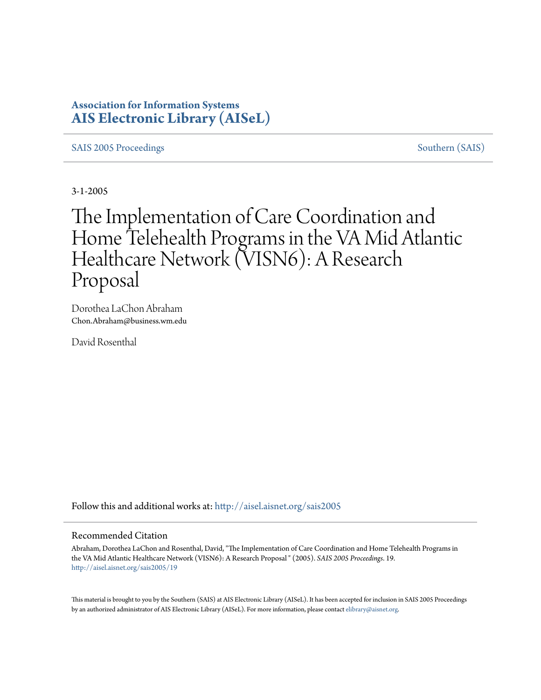## **Association for Information Systems [AIS Electronic Library \(AISeL\)](http://aisel.aisnet.org?utm_source=aisel.aisnet.org%2Fsais2005%2F19&utm_medium=PDF&utm_campaign=PDFCoverPages)**

#### [SAIS 2005 Proceedings](http://aisel.aisnet.org/sais2005?utm_source=aisel.aisnet.org%2Fsais2005%2F19&utm_medium=PDF&utm_campaign=PDFCoverPages) [Southern \(SAIS\)](http://aisel.aisnet.org/sais?utm_source=aisel.aisnet.org%2Fsais2005%2F19&utm_medium=PDF&utm_campaign=PDFCoverPages)

3-1-2005

# The Implementation of Care Coordination and Home Telehealth Programs in the VA Mid Atlantic Healthcare Network (VISN6): A Research Proposal

Dorothea LaChon Abraham Chon.Abraham@business.wm.edu

David Rosenthal

Follow this and additional works at: [http://aisel.aisnet.org/sais2005](http://aisel.aisnet.org/sais2005?utm_source=aisel.aisnet.org%2Fsais2005%2F19&utm_medium=PDF&utm_campaign=PDFCoverPages)

#### Recommended Citation

Abraham, Dorothea LaChon and Rosenthal, David, "The Implementation of Care Coordination and Home Telehealth Programs in the VA Mid Atlantic Healthcare Network (VISN6): A Research Proposal " (2005). *SAIS 2005 Proceedings*. 19. [http://aisel.aisnet.org/sais2005/19](http://aisel.aisnet.org/sais2005/19?utm_source=aisel.aisnet.org%2Fsais2005%2F19&utm_medium=PDF&utm_campaign=PDFCoverPages)

This material is brought to you by the Southern (SAIS) at AIS Electronic Library (AISeL). It has been accepted for inclusion in SAIS 2005 Proceedings by an authorized administrator of AIS Electronic Library (AISeL). For more information, please contact [elibrary@aisnet.org](mailto:elibrary@aisnet.org%3E).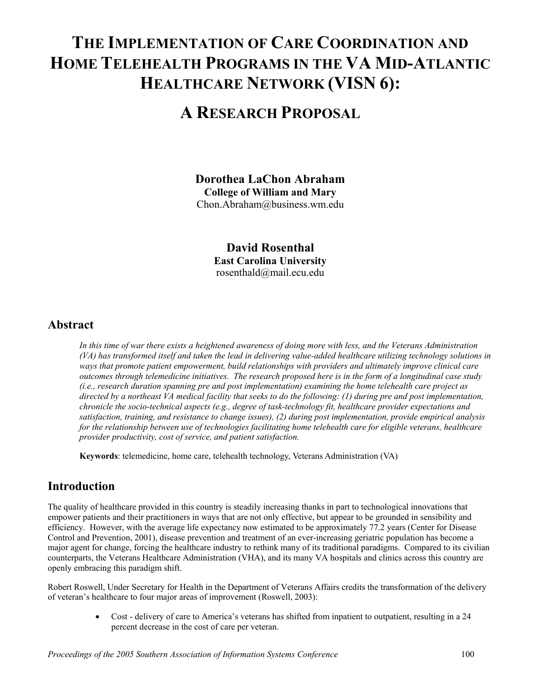## **THE IMPLEMENTATION OF CARE COORDINATION AND HOME TELEHEALTH PROGRAMS IN THE VA MID-ATLANTIC HEALTHCARE NETWORK (VISN 6):**

## **A RESEARCH PROPOSAL**

**Dorothea LaChon Abraham College of William and Mary** Chon.Abraham@business.wm.edu

> **David Rosenthal East Carolina University** rosenthald@mail.ecu.edu

#### **Abstract**

*In this time of war there exists a heightened awareness of doing more with less, and the Veterans Administration (VA) has transformed itself and taken the lead in delivering value-added healthcare utilizing technology solutions in ways that promote patient empowerment, build relationships with providers and ultimately improve clinical care outcomes through telemedicine initiatives. The research proposed here is in the form of a longitudinal case study (i.e., research duration spanning pre and post implementation) examining the home telehealth care project as directed by a northeast VA medical facility that seeks to do the following: (1) during pre and post implementation, chronicle the socio-technical aspects (e.g., degree of task-technology fit, healthcare provider expectations and satisfaction, training, and resistance to change issues), (2) during post implementation, provide empirical analysis for the relationship between use of technologies facilitating home telehealth care for eligible veterans, healthcare provider productivity, cost of service, and patient satisfaction.*

**Keywords**: telemedicine, home care, telehealth technology, Veterans Administration (VA)

#### **Introduction**

The quality of healthcare provided in this country is steadily increasing thanks in part to technological innovations that empower patients and their practitioners in ways that are not only effective, but appear to be grounded in sensibility and efficiency. However, with the average life expectancy now estimated to be approximately 77.2 years (Center for Disease Control and Prevention, 2001), disease prevention and treatment of an ever-increasing geriatric population has become a major agent for change, forcing the healthcare industry to rethink many of its traditional paradigms. Compared to its civilian counterparts, the Veterans Healthcare Administration (VHA), and its many VA hospitals and clinics across this country are openly embracing this paradigm shift.

Robert Roswell, Under Secretary for Health in the Department of Veterans Affairs credits the transformation of the delivery of veteran's healthcare to four major areas of improvement (Roswell, 2003):

> • Cost - delivery of care to America's veterans has shifted from inpatient to outpatient, resulting in a 24 percent decrease in the cost of care per veteran.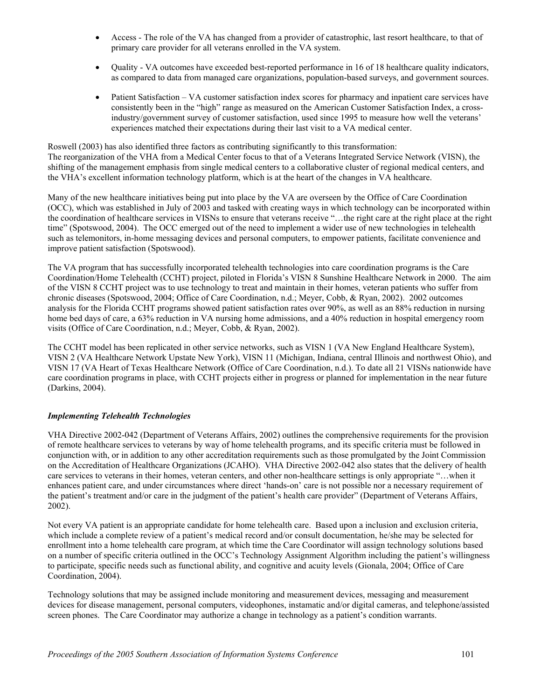- Access The role of the VA has changed from a provider of catastrophic, last resort healthcare, to that of primary care provider for all veterans enrolled in the VA system.
- Quality VA outcomes have exceeded best-reported performance in 16 of 18 healthcare quality indicators, as compared to data from managed care organizations, population-based surveys, and government sources.
- Patient Satisfaction VA customer satisfaction index scores for pharmacy and inpatient care services have consistently been in the "high" range as measured on the American Customer Satisfaction Index, a crossindustry/government survey of customer satisfaction, used since 1995 to measure how well the veterans' experiences matched their expectations during their last visit to a VA medical center.

Roswell (2003) has also identified three factors as contributing significantly to this transformation: The reorganization of the VHA from a Medical Center focus to that of a Veterans Integrated Service Network (VISN), the shifting of the management emphasis from single medical centers to a collaborative cluster of regional medical centers, and the VHA's excellent information technology platform, which is at the heart of the changes in VA healthcare.

Many of the new healthcare initiatives being put into place by the VA are overseen by the Office of Care Coordination (OCC), which was established in July of 2003 and tasked with creating ways in which technology can be incorporated within the coordination of healthcare services in VISNs to ensure that veterans receive "…the right care at the right place at the right time" (Spotswood, 2004). The OCC emerged out of the need to implement a wider use of new technologies in telehealth such as telemonitors, in-home messaging devices and personal computers, to empower patients, facilitate convenience and improve patient satisfaction (Spotswood).

The VA program that has successfully incorporated telehealth technologies into care coordination programs is the Care Coordination/Home Telehealth (CCHT) project, piloted in Florida's VISN 8 Sunshine Healthcare Network in 2000. The aim of the VISN 8 CCHT project was to use technology to treat and maintain in their homes, veteran patients who suffer from chronic diseases (Spotswood, 2004; Office of Care Coordination, n.d.; Meyer, Cobb, & Ryan, 2002). 2002 outcomes analysis for the Florida CCHT programs showed patient satisfaction rates over 90%, as well as an 88% reduction in nursing home bed days of care, a 63% reduction in VA nursing home admissions, and a 40% reduction in hospital emergency room visits (Office of Care Coordination, n.d.; Meyer, Cobb, & Ryan, 2002).

The CCHT model has been replicated in other service networks, such as VISN 1 (VA New England Healthcare System), VISN 2 (VA Healthcare Network Upstate New York), VISN 11 (Michigan, Indiana, central Illinois and northwest Ohio), and VISN 17 (VA Heart of Texas Healthcare Network (Office of Care Coordination, n.d.). To date all 21 VISNs nationwide have care coordination programs in place, with CCHT projects either in progress or planned for implementation in the near future (Darkins, 2004).

#### *Implementing Telehealth Technologies*

VHA Directive 2002-042 (Department of Veterans Affairs, 2002) outlines the comprehensive requirements for the provision of remote healthcare services to veterans by way of home telehealth programs, and its specific criteria must be followed in conjunction with, or in addition to any other accreditation requirements such as those promulgated by the Joint Commission on the Accreditation of Healthcare Organizations (JCAHO). VHA Directive 2002-042 also states that the delivery of health care services to veterans in their homes, veteran centers, and other non-healthcare settings is only appropriate "…when it enhances patient care, and under circumstances where direct 'hands-on' care is not possible nor a necessary requirement of the patient's treatment and/or care in the judgment of the patient's health care provider" (Department of Veterans Affairs, 2002).

Not every VA patient is an appropriate candidate for home telehealth care. Based upon a inclusion and exclusion criteria, which include a complete review of a patient's medical record and/or consult documentation, he/she may be selected for enrollment into a home telehealth care program, at which time the Care Coordinator will assign technology solutions based on a number of specific criteria outlined in the OCC's Technology Assignment Algorithm including the patient's willingness to participate, specific needs such as functional ability, and cognitive and acuity levels (Gionala, 2004; Office of Care Coordination, 2004).

Technology solutions that may be assigned include monitoring and measurement devices, messaging and measurement devices for disease management, personal computers, videophones, instamatic and/or digital cameras, and telephone/assisted screen phones. The Care Coordinator may authorize a change in technology as a patient's condition warrants.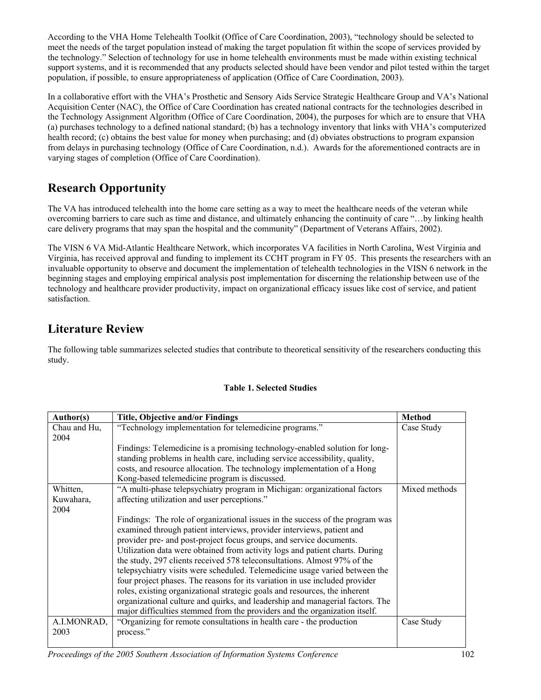According to the VHA Home Telehealth Toolkit (Office of Care Coordination, 2003), "technology should be selected to meet the needs of the target population instead of making the target population fit within the scope of services provided by the technology." Selection of technology for use in home telehealth environments must be made within existing technical support systems, and it is recommended that any products selected should have been vendor and pilot tested within the target population, if possible, to ensure appropriateness of application (Office of Care Coordination, 2003).

In a collaborative effort with the VHA's Prosthetic and Sensory Aids Service Strategic Healthcare Group and VA's National Acquisition Center (NAC), the Office of Care Coordination has created national contracts for the technologies described in the Technology Assignment Algorithm (Office of Care Coordination, 2004), the purposes for which are to ensure that VHA (a) purchases technology to a defined national standard; (b) has a technology inventory that links with VHA's computerized health record; (c) obtains the best value for money when purchasing; and (d) obviates obstructions to program expansion from delays in purchasing technology (Office of Care Coordination, n.d.). Awards for the aforementioned contracts are in varying stages of completion (Office of Care Coordination).

## **Research Opportunity**

The VA has introduced telehealth into the home care setting as a way to meet the healthcare needs of the veteran while overcoming barriers to care such as time and distance, and ultimately enhancing the continuity of care "…by linking health care delivery programs that may span the hospital and the community" (Department of Veterans Affairs, 2002).

The VISN 6 VA Mid-Atlantic Healthcare Network, which incorporates VA facilities in North Carolina, West Virginia and Virginia, has received approval and funding to implement its CCHT program in FY 05. This presents the researchers with an invaluable opportunity to observe and document the implementation of telehealth technologies in the VISN 6 network in the beginning stages and employing empirical analysis post implementation for discerning the relationship between use of the technology and healthcare provider productivity, impact on organizational efficacy issues like cost of service, and patient satisfaction.

## **Literature Review**

The following table summarizes selected studies that contribute to theoretical sensitivity of the researchers conducting this study.

| Author(s)            | <b>Title, Objective and/or Findings</b>                                                                                                                     | <b>Method</b> |
|----------------------|-------------------------------------------------------------------------------------------------------------------------------------------------------------|---------------|
| Chau and Hu,<br>2004 | "Technology implementation for telemedicine programs."                                                                                                      | Case Study    |
|                      | Findings: Telemedicine is a promising technology-enabled solution for long-                                                                                 |               |
|                      | standing problems in health care, including service accessibility, quality,                                                                                 |               |
|                      | costs, and resource allocation. The technology implementation of a Hong                                                                                     |               |
|                      | Kong-based telemedicine program is discussed.                                                                                                               |               |
| Whitten,             | "A multi-phase telepsychiatry program in Michigan: organizational factors                                                                                   | Mixed methods |
| Kuwahara,<br>2004    | affecting utilization and user perceptions."                                                                                                                |               |
|                      | Findings: The role of organizational issues in the success of the program was                                                                               |               |
|                      | examined through patient interviews, provider interviews, patient and                                                                                       |               |
|                      | provider pre- and post-project focus groups, and service documents.                                                                                         |               |
|                      | Utilization data were obtained from activity logs and patient charts. During                                                                                |               |
|                      | the study, 297 clients received 578 teleconsultations. Almost 97% of the                                                                                    |               |
|                      | telepsychiatry visits were scheduled. Telemedicine usage varied between the                                                                                 |               |
|                      | four project phases. The reasons for its variation in use included provider                                                                                 |               |
|                      | roles, existing organizational strategic goals and resources, the inherent<br>organizational culture and quirks, and leadership and managerial factors. The |               |
|                      | major difficulties stemmed from the providers and the organization itself.                                                                                  |               |
| A.I.MONRAD,          | "Organizing for remote consultations in health care - the production                                                                                        | Case Study    |
| 2003                 | process."                                                                                                                                                   |               |
|                      |                                                                                                                                                             |               |

#### **Table 1. Selected Studies**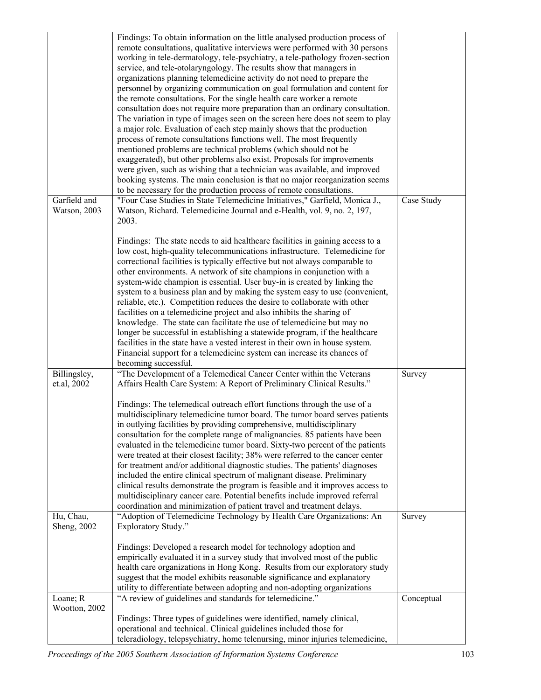|               | Findings: To obtain information on the little analysed production process of<br>remote consultations, qualitative interviews were performed with 30 persons    |            |
|---------------|----------------------------------------------------------------------------------------------------------------------------------------------------------------|------------|
|               | working in tele-dermatology, tele-psychiatry, a tele-pathology frozen-section                                                                                  |            |
|               | service, and tele-otolaryngology. The results show that managers in                                                                                            |            |
|               | organizations planning telemedicine activity do not need to prepare the<br>personnel by organizing communication on goal formulation and content for           |            |
|               | the remote consultations. For the single health care worker a remote                                                                                           |            |
|               | consultation does not require more preparation than an ordinary consultation.                                                                                  |            |
|               | The variation in type of images seen on the screen here does not seem to play                                                                                  |            |
|               | a major role. Evaluation of each step mainly shows that the production                                                                                         |            |
|               | process of remote consultations functions well. The most frequently                                                                                            |            |
|               | mentioned problems are technical problems (which should not be<br>exaggerated), but other problems also exist. Proposals for improvements                      |            |
|               | were given, such as wishing that a technician was available, and improved                                                                                      |            |
|               | booking systems. The main conclusion is that no major reorganization seems                                                                                     |            |
|               | to be necessary for the production process of remote consultations.                                                                                            |            |
| Garfield and  | "Four Case Studies in State Telemedicine Initiatives," Garfield, Monica J.,                                                                                    | Case Study |
| Watson, 2003  | Watson, Richard. Telemedicine Journal and e-Health, vol. 9, no. 2, 197,<br>2003.                                                                               |            |
|               |                                                                                                                                                                |            |
|               | Findings: The state needs to aid healthcare facilities in gaining access to a                                                                                  |            |
|               | low cost, high-quality telecommunications infrastructure. Telemedicine for                                                                                     |            |
|               | correctional facilities is typically effective but not always comparable to                                                                                    |            |
|               | other environments. A network of site champions in conjunction with a<br>system-wide champion is essential. User buy-in is created by linking the              |            |
|               | system to a business plan and by making the system easy to use (convenient,                                                                                    |            |
|               | reliable, etc.). Competition reduces the desire to collaborate with other                                                                                      |            |
|               | facilities on a telemedicine project and also inhibits the sharing of                                                                                          |            |
|               | knowledge. The state can facilitate the use of telemedicine but may no                                                                                         |            |
|               | longer be successful in establishing a statewide program, if the healthcare                                                                                    |            |
|               | facilities in the state have a vested interest in their own in house system.<br>Financial support for a telemedicine system can increase its chances of        |            |
|               | becoming successful.                                                                                                                                           |            |
| Billingsley,  | "The Development of a Telemedical Cancer Center within the Veterans                                                                                            | Survey     |
| et.al, 2002   | Affairs Health Care System: A Report of Preliminary Clinical Results."                                                                                         |            |
|               | Findings: The telemedical outreach effort functions through the use of a                                                                                       |            |
|               | multidisciplinary telemedicine tumor board. The tumor board serves patients                                                                                    |            |
|               | in outlying facilities by providing comprehensive, multidisciplinary                                                                                           |            |
|               | consultation for the complete range of malignancies. 85 patients have been                                                                                     |            |
|               | evaluated in the telemedicine tumor board. Sixty-two percent of the patients<br>were treated at their closest facility; 38% were referred to the cancer center |            |
|               | for treatment and/or additional diagnostic studies. The patients' diagnoses                                                                                    |            |
|               | included the entire clinical spectrum of malignant disease. Preliminary                                                                                        |            |
|               | clinical results demonstrate the program is feasible and it improves access to                                                                                 |            |
|               | multidisciplinary cancer care. Potential benefits include improved referral                                                                                    |            |
| Hu, Chau,     | coordination and minimization of patient travel and treatment delays.<br>"Adoption of Telemedicine Technology by Health Care Organizations: An                 | Survey     |
| Sheng, 2002   | Exploratory Study."                                                                                                                                            |            |
|               |                                                                                                                                                                |            |
|               | Findings: Developed a research model for technology adoption and                                                                                               |            |
|               | empirically evaluated it in a survey study that involved most of the public                                                                                    |            |
|               | health care organizations in Hong Kong. Results from our exploratory study                                                                                     |            |
|               | suggest that the model exhibits reasonable significance and explanatory<br>utility to differentiate between adopting and non-adopting organizations            |            |
| Loane; R      | "A review of guidelines and standards for telemedicine."                                                                                                       | Conceptual |
| Wootton, 2002 |                                                                                                                                                                |            |
|               | Findings: Three types of guidelines were identified, namely clinical,                                                                                          |            |
|               | operational and technical. Clinical guidelines included those for<br>teleradiology, telepsychiatry, home telenursing, minor injuries telemedicine,             |            |
|               |                                                                                                                                                                |            |

*Proceedings of the 2005 Southern Association of Information Systems Conference* 103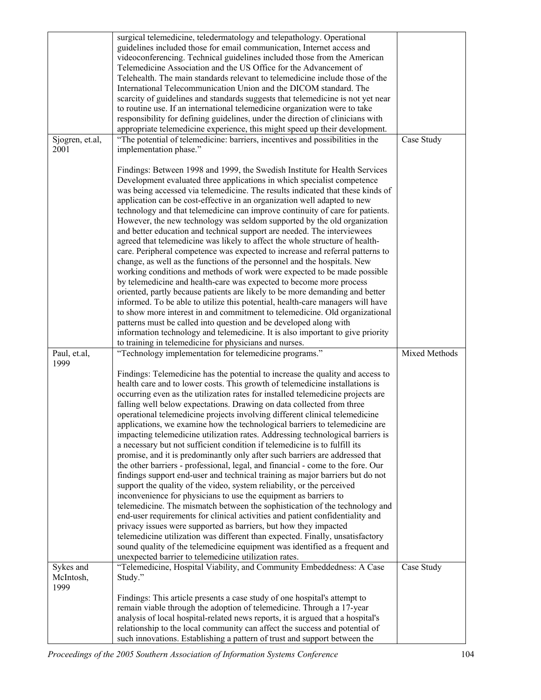|                 | surgical telemedicine, teledermatology and telepathology. Operational                                                                                        |               |
|-----------------|--------------------------------------------------------------------------------------------------------------------------------------------------------------|---------------|
|                 | guidelines included those for email communication, Internet access and                                                                                       |               |
|                 | videoconferencing. Technical guidelines included those from the American                                                                                     |               |
|                 | Telemedicine Association and the US Office for the Advancement of<br>Telehealth. The main standards relevant to telemedicine include those of the            |               |
|                 | International Telecommunication Union and the DICOM standard. The                                                                                            |               |
|                 | scarcity of guidelines and standards suggests that telemedicine is not yet near                                                                              |               |
|                 | to routine use. If an international telemedicine organization were to take                                                                                   |               |
|                 | responsibility for defining guidelines, under the direction of clinicians with                                                                               |               |
|                 | appropriate telemedicine experience, this might speed up their development.                                                                                  |               |
| Sjogren, et.al, | "The potential of telemedicine: barriers, incentives and possibilities in the                                                                                | Case Study    |
| 2001            | implementation phase."                                                                                                                                       |               |
|                 |                                                                                                                                                              |               |
|                 | Findings: Between 1998 and 1999, the Swedish Institute for Health Services                                                                                   |               |
|                 | Development evaluated three applications in which specialist competence                                                                                      |               |
|                 | was being accessed via telemedicine. The results indicated that these kinds of                                                                               |               |
|                 | application can be cost-effective in an organization well adapted to new                                                                                     |               |
|                 | technology and that telemedicine can improve continuity of care for patients.                                                                                |               |
|                 | However, the new technology was seldom supported by the old organization                                                                                     |               |
|                 | and better education and technical support are needed. The interviewees<br>agreed that telemedicine was likely to affect the whole structure of health-      |               |
|                 | care. Peripheral competence was expected to increase and referral patterns to                                                                                |               |
|                 | change, as well as the functions of the personnel and the hospitals. New                                                                                     |               |
|                 | working conditions and methods of work were expected to be made possible                                                                                     |               |
|                 | by telemedicine and health-care was expected to become more process                                                                                          |               |
|                 | oriented, partly because patients are likely to be more demanding and better                                                                                 |               |
|                 | informed. To be able to utilize this potential, health-care managers will have                                                                               |               |
|                 | to show more interest in and commitment to telemedicine. Old organizational                                                                                  |               |
|                 | patterns must be called into question and be developed along with                                                                                            |               |
|                 | information technology and telemedicine. It is also important to give priority                                                                               |               |
|                 |                                                                                                                                                              |               |
|                 | to training in telemedicine for physicians and nurses.                                                                                                       |               |
| Paul, et.al,    | "Technology implementation for telemedicine programs."                                                                                                       | Mixed Methods |
| 1999            |                                                                                                                                                              |               |
|                 | Findings: Telemedicine has the potential to increase the quality and access to                                                                               |               |
|                 | health care and to lower costs. This growth of telemedicine installations is                                                                                 |               |
|                 | occurring even as the utilization rates for installed telemedicine projects are                                                                              |               |
|                 | falling well below expectations. Drawing on data collected from three                                                                                        |               |
|                 | operational telemedicine projects involving different clinical telemedicine                                                                                  |               |
|                 | applications, we examine how the technological barriers to telemedicine are                                                                                  |               |
|                 | impacting telemedicine utilization rates. Addressing technological barriers is<br>a necessary but not sufficient condition if telemedicine is to fulfill its |               |
|                 | promise, and it is predominantly only after such barriers are addressed that                                                                                 |               |
|                 | the other barriers - professional, legal, and financial - come to the fore. Our                                                                              |               |
|                 | findings support end-user and technical training as major barriers but do not                                                                                |               |
|                 | support the quality of the video, system reliability, or the perceived                                                                                       |               |
|                 | inconvenience for physicians to use the equipment as barriers to                                                                                             |               |
|                 | telemedicine. The mismatch between the sophistication of the technology and                                                                                  |               |
|                 | end-user requirements for clinical activities and patient confidentiality and                                                                                |               |
|                 | privacy issues were supported as barriers, but how they impacted                                                                                             |               |
|                 | telemedicine utilization was different than expected. Finally, unsatisfactory                                                                                |               |
|                 | sound quality of the telemedicine equipment was identified as a frequent and                                                                                 |               |
|                 | unexpected barrier to telemedicine utilization rates.                                                                                                        |               |
| Sykes and       | "Telemedicine, Hospital Viability, and Community Embeddedness: A Case                                                                                        | Case Study    |
| McIntosh,       | Study."                                                                                                                                                      |               |
| 1999            |                                                                                                                                                              |               |
|                 | Findings: This article presents a case study of one hospital's attempt to<br>remain viable through the adoption of telemedicine. Through a 17-year           |               |
|                 | analysis of local hospital-related news reports, it is argued that a hospital's                                                                              |               |
|                 | relationship to the local community can affect the success and potential of                                                                                  |               |

*Proceedings of the 2005 Southern Association of Information Systems Conference* 104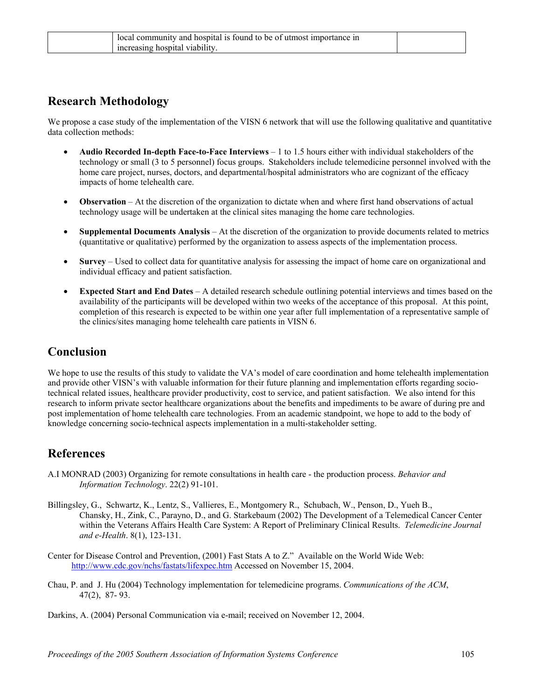| local community and hospital is found to be of utmost importance in |  |
|---------------------------------------------------------------------|--|
| increasing hospital viability.                                      |  |

## **Research Methodology**

We propose a case study of the implementation of the VISN 6 network that will use the following qualitative and quantitative data collection methods:

- **Audio Recorded In-depth Face-to-Face Interviews** 1 to 1.5 hours either with individual stakeholders of the technology or small (3 to 5 personnel) focus groups. Stakeholders include telemedicine personnel involved with the home care project, nurses, doctors, and departmental/hospital administrators who are cognizant of the efficacy impacts of home telehealth care.
- **Observation** At the discretion of the organization to dictate when and where first hand observations of actual technology usage will be undertaken at the clinical sites managing the home care technologies.
- **Supplemental Documents Analysis** At the discretion of the organization to provide documents related to metrics (quantitative or qualitative) performed by the organization to assess aspects of the implementation process.
- **Survey**  Used to collect data for quantitative analysis for assessing the impact of home care on organizational and individual efficacy and patient satisfaction.
- **Expected Start and End Dates** A detailed research schedule outlining potential interviews and times based on the availability of the participants will be developed within two weeks of the acceptance of this proposal. At this point, completion of this research is expected to be within one year after full implementation of a representative sample of the clinics/sites managing home telehealth care patients in VISN 6.

### **Conclusion**

We hope to use the results of this study to validate the VA's model of care coordination and home telehealth implementation and provide other VISN's with valuable information for their future planning and implementation efforts regarding sociotechnical related issues, healthcare provider productivity, cost to service, and patient satisfaction. We also intend for this research to inform private sector healthcare organizations about the benefits and impediments to be aware of during pre and post implementation of home telehealth care technologies. From an academic standpoint, we hope to add to the body of knowledge concerning socio-technical aspects implementation in a multi-stakeholder setting.

### **References**

- A.I MONRAD (2003) Organizing for remote consultations in health care the production process. *Behavior and Information Technology*. 22(2) 91-101.
- Billingsley, G., Schwartz, K., Lentz, S., Vallieres, E., Montgomery R., Schubach, W., Penson, D., Yueh B., Chansky, H., Zink, C., Parayno, D., and G. Starkebaum (2002) The Development of a Telemedical Cancer Center within the Veterans Affairs Health Care System: A Report of Preliminary Clinical Results. *Telemedicine Journal and e-Health*. 8(1), 123-131.
- Center for Disease Control and Prevention, (2001) Fast Stats A to Z." Available on the World Wide Web: <http://www.cdc.gov/nchs/fastats/lifexpec.htm>Accessed on November 15, 2004.
- Chau, P. and J. Hu (2004) Technology implementation for telemedicine programs. *Communications of the ACM*, 47(2), 87- 93.
- Darkins, A. (2004) Personal Communication via e-mail; received on November 12, 2004.